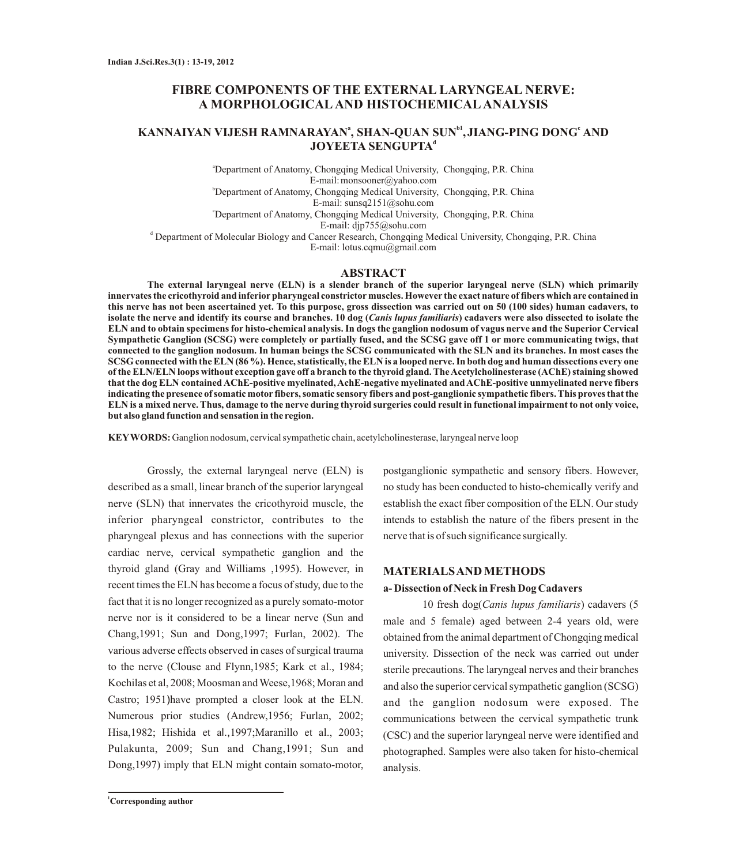## **FIBRE COMPONENTS OF THE EXTERNAL LARYNGEAL NERVE: A MORPHOLOGICALAND HISTOCHEMICALANALYSIS**

# **kANNAIYAN VIJESH RAMNARAYAN<sup>ª</sup>, SHAN-QUAN SUN<sup>b1</sup>, JIANG-PING DONG<sup>e</sup> AND d JOYEETA SENGUPTA**

<sup>a</sup>Department of Anatomy, Chongqing Medical University, Chongqing, P.R. China E-mail:monsooner@yahoo.com <sup>b</sup>Department of Anatomy, Chongqing Medical University, Chongqing, P.R. China E-mail: sunsq2151@sohu.com <sup>c</sup>Department of Anatomy, Chongqing Medical University, Chongqing, P.R. China E-mail: djp755@sohu.com

d Department of Molecular Biology and Cancer Research, Chongqing Medical University, Chongqing, P.R. China E-mail: lotus.cqmu@gmail.com

## **ABSTRACT**

**The external laryngeal nerve (ELN) is a slender branch of the superior laryngeal nerve (SLN) which primarily innervates the cricothyroid and inferiorpharyngeal constrictormuscles. However the exact nature of fibers which are contained in this nerve has not been ascertained yet. To this purpose, gross dissection was carried out on 50 (100 sides) human cadavers, to isolate the nerve and identify its course and branches. 10 dog (***Canis lupus familiaris***) cadavers were also dissected to isolate the ELN and to obtain specimens for histo-chemical analysis. In dogs the ganglion nodosum of vagus nerve and the Superior Cervical Sympathetic Ganglion (SCSG) were completely or partially fused, and the SCSG gave off 1 or more communicating twigs, that connected to the ganglion nodosum. In human beings the SCSG communicated with the SLN and its branches. In most cases the SCSG connected with the ELN (86 %). Hence, statistically, the ELN is a looped nerve. In both dog and human dissections every one of the ELN/ELN loops without exception gave off a branch to the thyroid gland. The Acetylcholinesterase (AChE) staining showed that the dog ELN contained AChE-positive myelinated, AchE-negative myelinated and AChE-positive unmyelinated nerve fibers indicating the presence of somatic motor fibers, somatic sensory fibers and post-ganglionic sympathetic fibers. This proves that the ELN is a mixed nerve. Thus, damage to the nerve during thyroid surgeries could result in functional impairment to not only voice, but also gland function and sensation in the region.**

**KEYWORDS:** Ganglion nodosum, cervical sympathetic chain, acetylcholinesterase, laryngeal nerve loop

Grossly, the external laryngeal nerve (ELN) is described as a small, linear branch of the superior laryngeal nerve (SLN) that innervates the cricothyroid muscle, the inferior pharyngeal constrictor, contributes to the pharyngeal plexus and has connections with the superior cardiac nerve, cervical sympathetic ganglion and the thyroid gland (Gray and Williams ,1995). However, in recent times the ELN has become a focus of study, due to the fact that it is no longer recognized as a purely somato-motor nerve nor is it considered to be a linear nerve (Sun and Chang,1991; Sun and Dong,1997; Furlan, 2002). The various adverse effects observed in cases of surgical trauma to the nerve (Clouse and Flynn,1985; Kark et al., 1984; Kochilas et al, 2008; Moosman and Weese,1968; Moran and Castro; 1951)have prompted a closer look at the ELN. Numerous prior studies (Andrew,1956; Furlan, 2002; Hisa,1982; Hishida et al.,1997;Maranillo et al., 2003; Pulakunta, 2009; Sun and Chang,1991; Sun and Dong,1997) imply that ELN might contain somato-motor,

postganglionic sympathetic and sensory fibers. However, no study has been conducted to histo-chemically verify and establish the exact fiber composition of the ELN. Our study intends to establish the nature of the fibers present in the nerve that is of such significance surgically.

### **MATERIALS AND METHODS**

## **a- Dissection of Neck in Fresh Dog Cadavers**

10 fresh dog(*Canis lupus familiaris*) cadavers (5 male and 5 female) aged between 2-4 years old, were obtained from the animal department of Chongqing medical university. Dissection of the neck was carried out under sterile precautions. The laryngeal nerves and their branches and also the superior cervical sympathetic ganglion (SCSG) and the ganglion nodosum were exposed. The communications between the cervical sympathetic trunk (CSC) and the superior laryngeal nerve were identified and photographed. Samples were also taken for histo-chemical analysis.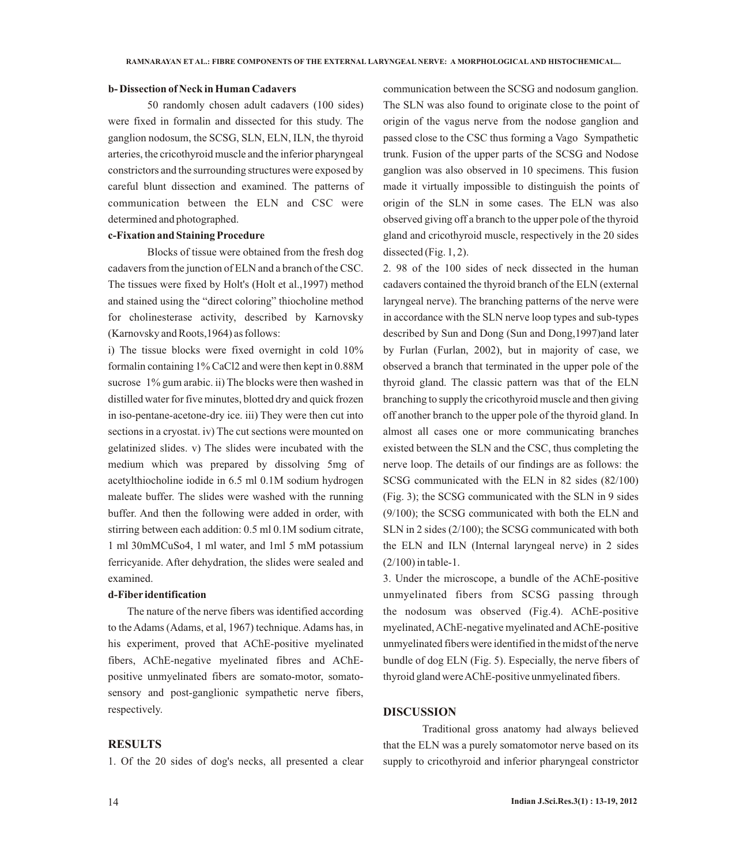## **b- Dissection of Neck in Human Cadavers**

50 randomly chosen adult cadavers (100 sides) were fixed in formalin and dissected for this study. The ganglion nodosum, the SCSG, SLN, ELN, ILN, the thyroid arteries, the cricothyroid muscle and the inferior pharyngeal constrictors and the surrounding structures were exposed by careful blunt dissection and examined. The patterns of communication between the ELN and CSC were determined and photographed.

## **c-Fixation and Staining Procedure**

Blocks of tissue were obtained from the fresh dog cadavers from the junction of ELN and a branch of the CSC. The tissues were fixed by Holt's (Holt et al.,1997) method and stained using the "direct coloring" thiocholine method for cholinesterase activity, described by Karnovsky (Karnovsky and Roots,1964) as follows:

i) The tissue blocks were fixed overnight in cold 10% formalin containing 1% CaCl2 and were then kept in 0.88M sucrose 1% gum arabic. ii) The blocks were then washed in distilled water for five minutes, blotted dry and quick frozen in iso-pentane-acetone-dry ice. iii) They were then cut into sections in a cryostat. iv) The cut sections were mounted on gelatinized slides. v) The slides were incubated with the medium which was prepared by dissolving 5mg of acetylthiocholine iodide in 6.5 ml 0.1M sodium hydrogen maleate buffer. The slides were washed with the running buffer. And then the following were added in order, with stirring between each addition: 0.5 ml 0.1M sodium citrate, 1 ml 30mMCuSo4, 1 ml water, and 1ml 5 mM potassium ferricyanide. After dehydration, the slides were sealed and examined.

## **d-Fiber identification**

The nature of the nerve fibers was identified according to the Adams (Adams, et al, 1967) technique. Adams has, in his experiment, proved that AChE-positive myelinated fibers, AChE-negative myelinated fibres and AChEpositive unmyelinated fibers are somato-motor, somatosensory and post-ganglionic sympathetic nerve fibers, respectively.

## **RESULTS**

1. Of the 20 sides of dog's necks, all presented a clear

communication between the SCSG and nodosum ganglion. The SLN was also found to originate close to the point of origin of the vagus nerve from the nodose ganglion and passed close to the CSC thus forming a Vago Sympathetic trunk. Fusion of the upper parts of the SCSG and Nodose ganglion was also observed in 10 specimens. This fusion made it virtually impossible to distinguish the points of origin of the SLN in some cases. The ELN was also observed giving off a branch to the upper pole of the thyroid gland and cricothyroid muscle, respectively in the 20 sides dissected (Fig. 1, 2).

2. 98 of the 100 sides of neck dissected in the human cadavers contained the thyroid branch of the ELN (external laryngeal nerve). The branching patterns of the nerve were in accordance with the SLN nerve loop types and sub-types described by Sun and Dong (Sun and Dong,1997)and later by Furlan (Furlan, 2002), but in majority of case, we observed a branch that terminated in the upper pole of the thyroid gland. The classic pattern was that of the ELN branching to supply the cricothyroid muscle and then giving off another branch to the upper pole of the thyroid gland. In almost all cases one or more communicating branches existed between the SLN and the CSC, thus completing the nerve loop. The details of our findings are as follows: the SCSG communicated with the ELN in 82 sides (82/100) (Fig. 3); the SCSG communicated with the SLN in 9 sides (9/100); the SCSG communicated with both the ELN and SLN in 2 sides (2/100); the SCSG communicated with both the ELN and ILN (Internal laryngeal nerve) in 2 sides (2/100) in table-1.

3. Under the microscope, a bundle of the AChE-positive unmyelinated fibers from SCSG passing through the nodosum was observed (Fig.4). AChE-positive myelinated, AChE-negative myelinated and AChE-positive unmyelinated fibers were identified in the midst of the nerve bundle of dog ELN (Fig. 5). Especially, the nerve fibers of thyroid gland were AChE-positive unmyelinated fibers.

#### **DISCUSSION**

Traditional gross anatomy had always believed that the ELN was a purely somatomotor nerve based on its supply to cricothyroid and inferior pharyngeal constrictor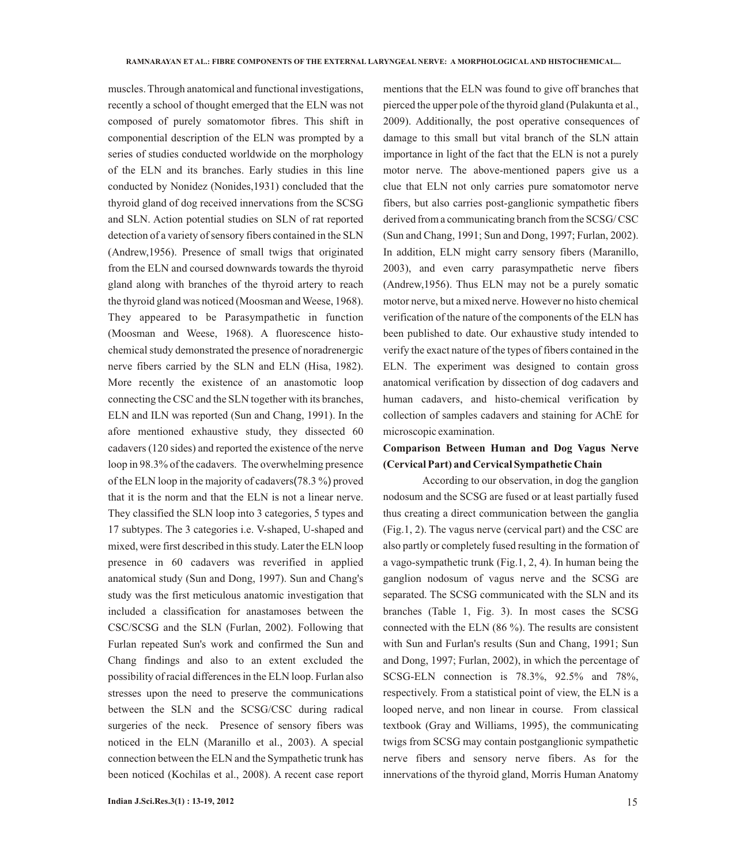muscles. Through anatomical and functional investigations, recently a school of thought emerged that the ELN was not composed of purely somatomotor fibres. This shift in componential description of the ELN was prompted by a series of studies conducted worldwide on the morphology of the ELN and its branches. Early studies in this line conducted by Nonidez (Nonides,1931) concluded that the thyroid gland of dog received innervations from the SCSG and SLN. Action potential studies on SLN of rat reported detection of a variety of sensory fibers contained in the SLN (Andrew,1956). Presence of small twigs that originated from the ELN and coursed downwards towards the thyroid gland along with branches of the thyroid artery to reach the thyroid gland was noticed (Moosman and Weese, 1968). They appeared to be Parasympathetic in function (Moosman and Weese, 1968). A fluorescence histochemical study demonstrated the presence of noradrenergic nerve fibers carried by the SLN and ELN (Hisa, 1982). More recently the existence of an anastomotic loop connecting the CSC and the SLN together with its branches, ELN and ILN was reported (Sun and Chang, 1991). In the afore mentioned exhaustive study, they dissected 60 cadavers (120 sides) and reported the existence of the nerve loop in 98.3% of the cadavers. The overwhelming presence of the ELN loop in the majority of cadavers(78.3 %) proved that it is the norm and that the ELN is not a linear nerve. They classified the SLN loop into 3 categories, 5 types and 17 subtypes. The 3 categories i.e. V-shaped, U-shaped and mixed, were first described in this study. Later the ELN loop presence in 60 cadavers was reverified in applied anatomical study (Sun and Dong, 1997). Sun and Chang's study was the first meticulous anatomic investigation that included a classification for anastamoses between the CSC/SCSG and the SLN (Furlan, 2002). Following that Furlan repeated Sun's work and confirmed the Sun and Chang findings and also to an extent excluded the possibility of racial differences in the ELN loop. Furlan also stresses upon the need to preserve the communications between the SLN and the SCSG/CSC during radical surgeries of the neck. Presence of sensory fibers was noticed in the ELN (Maranillo et al., 2003). A special connection between the ELN and the Sympathetic trunk has been noticed (Kochilas et al., 2008). A recent case report

**Indian J.Sci.Res.3(1) : 13-19, 2012** 15

mentions that the ELN was found to give off branches that pierced the upper pole of the thyroid gland (Pulakunta et al., 2009). Additionally, the post operative consequences of damage to this small but vital branch of the SLN attain importance in light of the fact that the ELN is not a purely motor nerve. The above-mentioned papers give us a clue that ELN not only carries pure somatomotor nerve fibers, but also carries post-ganglionic sympathetic fibers derived from a communicating branch from the SCSG/ CSC (Sun and Chang, 1991; Sun and Dong, 1997; Furlan, 2002). In addition, ELN might carry sensory fibers (Maranillo, 2003), and even carry parasympathetic nerve fibers (Andrew,1956). Thus ELN may not be a purely somatic motor nerve, but a mixed nerve. However no histo chemical verification of the nature of the components of the ELN has been published to date. Our exhaustive study intended to verify the exact nature of the types of fibers contained in the ELN. The experiment was designed to contain gross anatomical verification by dissection of dog cadavers and human cadavers, and histo-chemical verification by collection of samples cadavers and staining for AChE for microscopic examination.

## **Comparison Between Human and Dog Vagus Nerve (Cervical Part) and Cervical Sympathetic Chain**

According to our observation, in dog the ganglion nodosum and the SCSG are fused or at least partially fused thus creating a direct communication between the ganglia (Fig.1, 2). The vagus nerve (cervical part) and the CSC are also partly or completely fused resulting in the formation of a vago-sympathetic trunk (Fig.1, 2, 4). In human being the ganglion nodosum of vagus nerve and the SCSG are separated. The SCSG communicated with the SLN and its branches (Table 1, Fig. 3). In most cases the SCSG connected with the ELN (86 %). The results are consistent with Sun and Furlan's results (Sun and Chang, 1991; Sun and Dong, 1997; Furlan, 2002), in which the percentage of SCSG-ELN connection is 78.3%, 92.5% and 78%, respectively. From a statistical point of view, the ELN is a looped nerve, and non linear in course. From classical textbook (Gray and Williams, 1995), the communicating twigs from SCSG may contain postganglionic sympathetic nerve fibers and sensory nerve fibers. As for the innervations of the thyroid gland, Morris Human Anatomy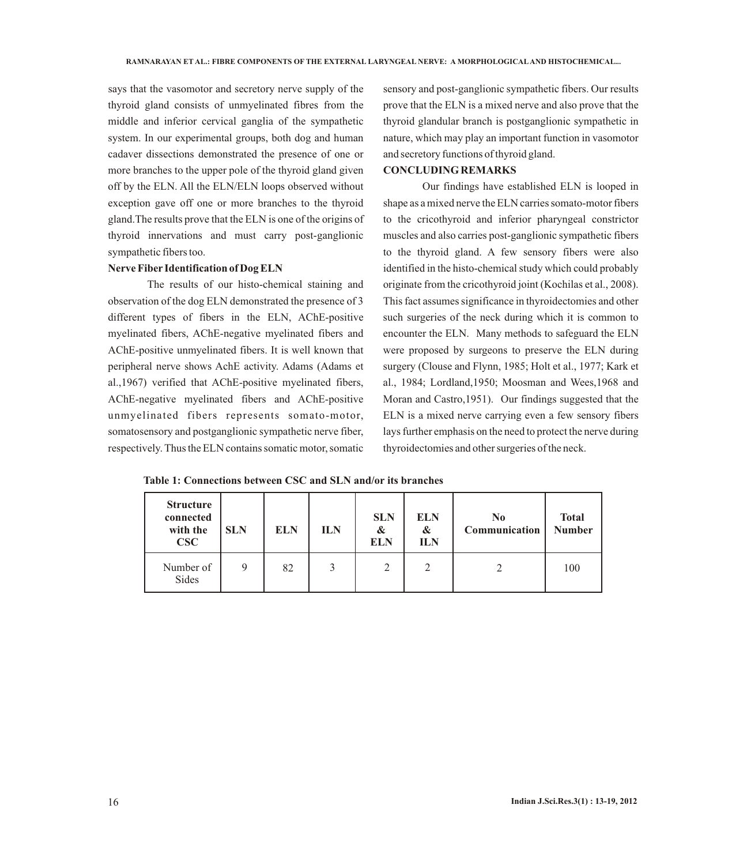says that the vasomotor and secretory nerve supply of the thyroid gland consists of unmyelinated fibres from the middle and inferior cervical ganglia of the sympathetic system. In our experimental groups, both dog and human cadaver dissections demonstrated the presence of one or more branches to the upper pole of the thyroid gland given off by the ELN. All the ELN/ELN loops observed without exception gave off one or more branches to the thyroid gland.The results prove that the ELN is one of the origins of thyroid innervations and must carry post-ganglionic sympathetic fibers too.

#### **Nerve Fiber Identification of Dog ELN**

The results of our histo-chemical staining and observation of the dog ELN demonstrated the presence of 3 different types of fibers in the ELN, AChE-positive myelinated fibers, AChE-negative myelinated fibers and AChE-positive unmyelinated fibers. It is well known that peripheral nerve shows AchE activity. Adams (Adams et al.,1967) verified that AChE-positive myelinated fibers, AChE-negative myelinated fibers and AChE-positive unmyelinated fibers represents somato-motor, somatosensory and postganglionic sympathetic nerve fiber, respectively. Thus the ELN contains somatic motor, somatic

sensory and post-ganglionic sympathetic fibers. Our results prove that the ELN is a mixed nerve and also prove that the thyroid glandular branch is postganglionic sympathetic in nature, which may play an important function in vasomotor and secretory functions of thyroid gland.

## **CONCLUDING REMARKS**

Our findings have established ELN is looped in shape as a mixed nerve the ELN carries somato-motor fibers to the cricothyroid and inferior pharyngeal constrictor muscles and also carries post-ganglionic sympathetic fibers to the thyroid gland. A few sensory fibers were also identified in the histo-chemical study which could probably originate from the cricothyroid joint (Kochilas et al., 2008). This fact assumes significance in thyroidectomies and other such surgeries of the neck during which it is common to encounter the ELN. Many methods to safeguard the ELN were proposed by surgeons to preserve the ELN during surgery (Clouse and Flynn, 1985; Holt et al., 1977; Kark et al., 1984; Lordland,1950; Moosman and Wees,1968 and Moran and Castro,1951). Our findings suggested that the ELN is a mixed nerve carrying even a few sensory fibers lays further emphasis on the need to protect the nerve during thyroidectomies and other surgeries of the neck.

**Table 1: Connections between CSC and SLN and/or its branches**

| <b>Structure</b><br>connected<br>with the<br>CSC | <b>SLN</b> | <b>ELN</b> | <b>ILN</b> | <b>SLN</b><br>&<br><b>ELN</b> | <b>ELN</b><br>$\boldsymbol{\alpha}$<br><b>ILN</b> | $\bf No$<br>Communication | <b>Total</b><br><b>Number</b> |
|--------------------------------------------------|------------|------------|------------|-------------------------------|---------------------------------------------------|---------------------------|-------------------------------|
| Number of<br>Sides                               | 9          | 82         |            |                               |                                                   |                           | 100                           |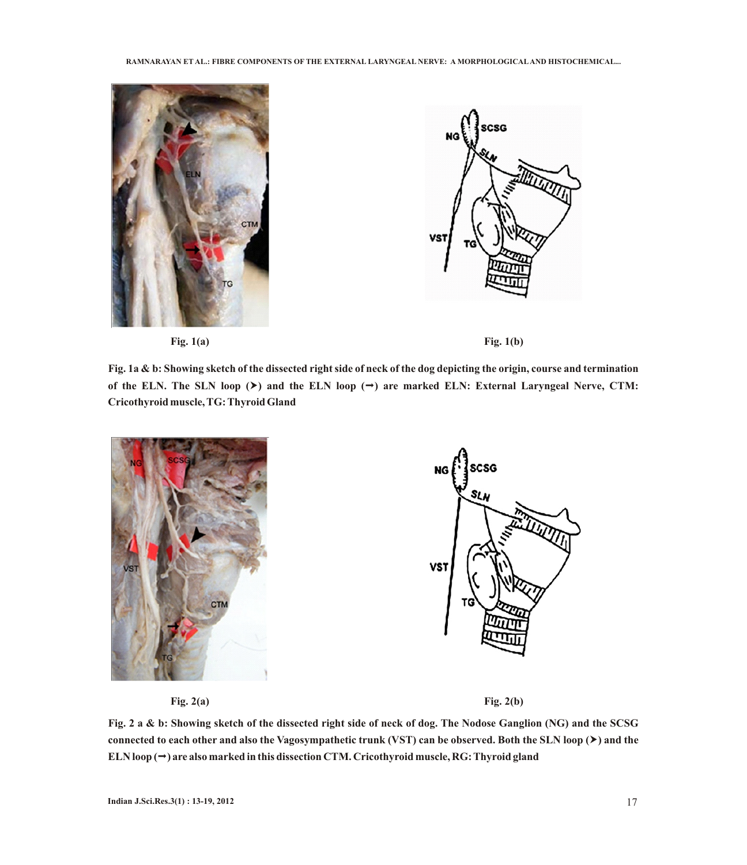





**Fig. 1a & b: Showing sketch of the dissected right side of neck of the dog depicting the origin, course and termination**  of the ELN. The SLN loop  $(\triangleright)$  and the ELN loop  $(\rightarrow)$  are marked ELN: External Laryngeal Nerve, CTM: **Cricothyroid muscle, TG: Thyroid Gland**



**Fig. 2(a) Fig. 2(b)**

**Fig. 2 a & b: Showing sketch of the dissected right side of neck of dog. The Nodose Ganglion (NG) and the SCSG connected to each other and also the Vagosympathetic trunk (VST) can be observed. Both the SLN loop (**†**) and the ELN loop (**ª**) are also marked in this dissection CTM. Cricothyroid muscle, RG: Thyroid gland**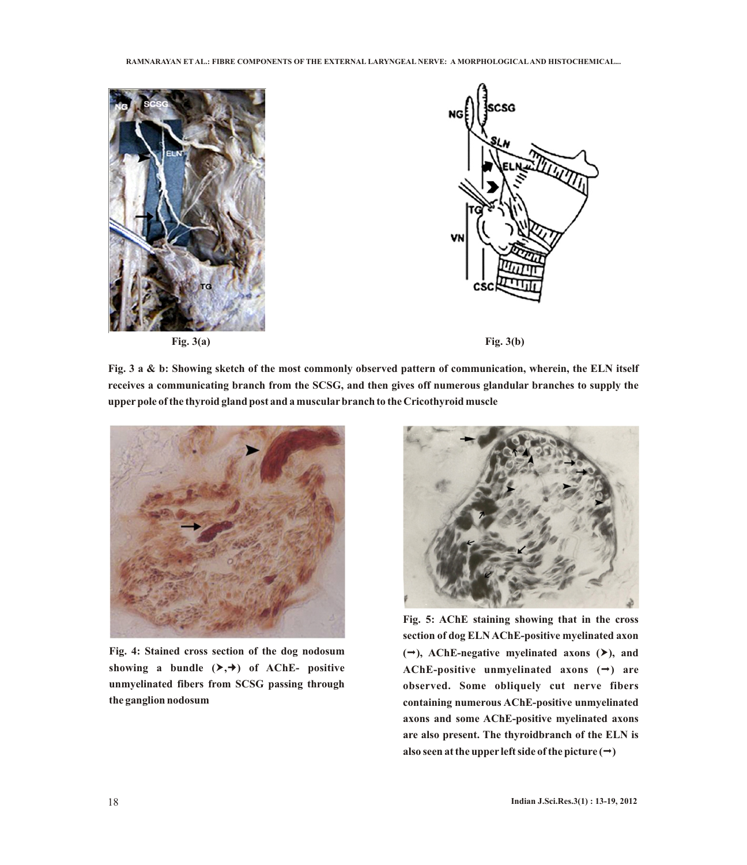





**Fig. 3 a & b: Showing sketch of the most commonly observed pattern of communication, wherein, the ELN itself receives a communicating branch from the SCSG, and then gives off numerous glandular branches to supply the upperpole of the thyroid gland post and a muscularbranch to the Cricothyroid muscle**



**Fig. 4: Stained cross section of the dog nodosum showing a** bundle  $(\rightarrow, \rightarrow)$  of AChE- positive **unmyelinated fibers from SCSG passing through the ganglion nodosum**



**Fig. 5: AChE staining showing that in the cross section of dog ELN AChE-positive myelinated axon**   $(\rightarrow)$ , AChE-negative myelinated axons  $(\rightarrow)$ , and **AChE-positive unmyelinated axons (**ª**) are observed. Some obliquely cut nerve fibers containing numerous AChE-positive unmyelinated axons and some AChE-positive myelinated axons are also present. The thyroidbranch of the ELN is**  also seen at the upper left side of the picture  $(\rightarrow)$